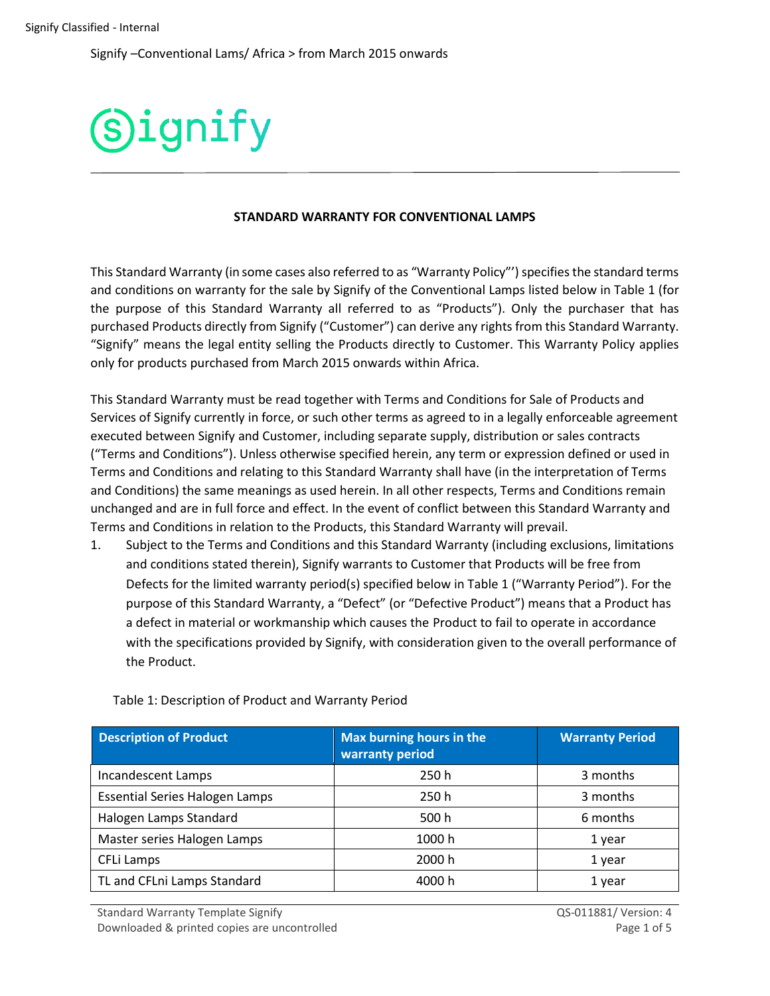

## **STANDARD WARRANTY FOR CONVENTIONAL LAMPS**

This Standard Warranty (in some cases also referred to as "Warranty Policy"') specifies the standard terms and conditions on warranty for the sale by Signify of the Conventional Lamps listed below in Table 1 (for the purpose of this Standard Warranty all referred to as "Products"). Only the purchaser that has purchased Products directly from Signify ("Customer") can derive any rights from this Standard Warranty. "Signify" means the legal entity selling the Products directly to Customer. This Warranty Policy applies only for products purchased from March 2015 onwards within Africa.

This Standard Warranty must be read together with Terms and Conditions for Sale of Products and Services of Signify currently in force, or such other terms as agreed to in a legally enforceable agreement executed between Signify and Customer, including separate supply, distribution or sales contracts ("Terms and Conditions"). Unless otherwise specified herein, any term or expression defined or used in Terms and Conditions and relating to this Standard Warranty shall have (in the interpretation of Terms and Conditions) the same meanings as used herein. In all other respects, Terms and Conditions remain unchanged and are in full force and effect. In the event of conflict between this Standard Warranty and Terms and Conditions in relation to the Products, this Standard Warranty will prevail.

1. Subject to the Terms and Conditions and this Standard Warranty (including exclusions, limitations and conditions stated therein), Signify warrants to Customer that Products will be free from Defects for the limited warranty period(s) specified below in Table 1 ("Warranty Period"). For the purpose of this Standard Warranty, a "Defect" (or "Defective Product") means that a Product has a defect in material or workmanship which causes the Product to fail to operate in accordance with the specifications provided by Signify, with consideration given to the overall performance of the Product.

| <b>Description of Product</b>         | Max burning hours in the<br>warranty period | <b>Warranty Period</b> |
|---------------------------------------|---------------------------------------------|------------------------|
| Incandescent Lamps                    | 250h                                        | 3 months               |
| <b>Essential Series Halogen Lamps</b> | 250h                                        | 3 months               |
| Halogen Lamps Standard                | 500 h                                       | 6 months               |
| Master series Halogen Lamps           | 1000 h                                      | 1 year                 |
| CFLI Lamps                            | 2000 h                                      | 1 year                 |
| TL and CFLni Lamps Standard           | 4000 h                                      | 1 year                 |

## Table 1: Description of Product and Warranty Period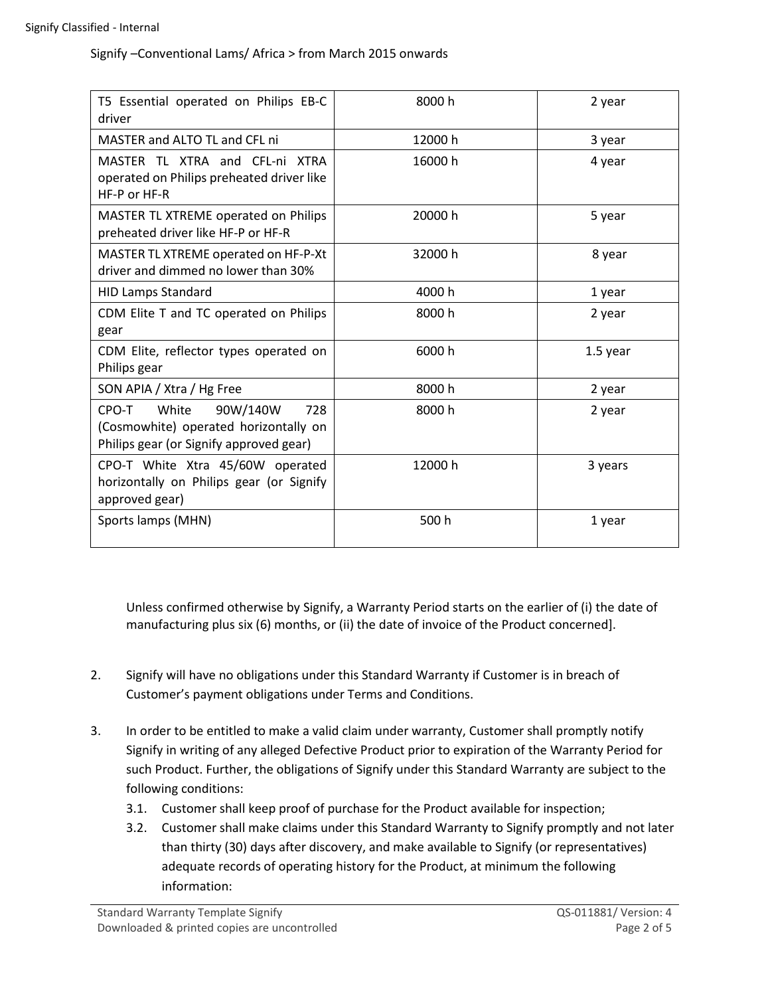| T5 Essential operated on Philips EB-C<br>driver                                                                       | 8000h   | 2 year     |
|-----------------------------------------------------------------------------------------------------------------------|---------|------------|
| MASTER and ALTO TL and CFL ni                                                                                         | 12000 h | 3 year     |
| MASTER TL XTRA and CFL-ni XTRA<br>operated on Philips preheated driver like<br>HF-P or HF-R                           | 16000h  | 4 year     |
| MASTER TL XTREME operated on Philips<br>preheated driver like HF-P or HF-R                                            | 20000 h | 5 year     |
| MASTER TL XTREME operated on HF-P-Xt<br>driver and dimmed no lower than 30%                                           | 32000h  | 8 year     |
| <b>HID Lamps Standard</b>                                                                                             | 4000 h  | 1 year     |
| CDM Elite T and TC operated on Philips<br>gear                                                                        | 8000h   | 2 year     |
| CDM Elite, reflector types operated on<br>Philips gear                                                                | 6000h   | $1.5$ year |
| SON APIA / Xtra / Hg Free                                                                                             | 8000h   | 2 year     |
| CPO-T<br>White<br>90W/140W<br>728<br>(Cosmowhite) operated horizontally on<br>Philips gear (or Signify approved gear) | 8000h   | 2 year     |
| CPO-T White Xtra 45/60W operated<br>horizontally on Philips gear (or Signify<br>approved gear)                        | 12000 h | 3 years    |
| Sports lamps (MHN)                                                                                                    | 500 h   | 1 year     |

Unless confirmed otherwise by Signify, a Warranty Period starts on the earlier of (i) the date of manufacturing plus six (6) months, or (ii) the date of invoice of the Product concerned].

- 2. Signify will have no obligations under this Standard Warranty if Customer is in breach of Customer's payment obligations under Terms and Conditions.
- 3. In order to be entitled to make a valid claim under warranty, Customer shall promptly notify Signify in writing of any alleged Defective Product prior to expiration of the Warranty Period for such Product. Further, the obligations of Signify under this Standard Warranty are subject to the following conditions:
	- 3.1. Customer shall keep proof of purchase for the Product available for inspection;
	- 3.2. Customer shall make claims under this Standard Warranty to Signify promptly and not later than thirty (30) days after discovery, and make available to Signify (or representatives) adequate records of operating history for the Product, at minimum the following information: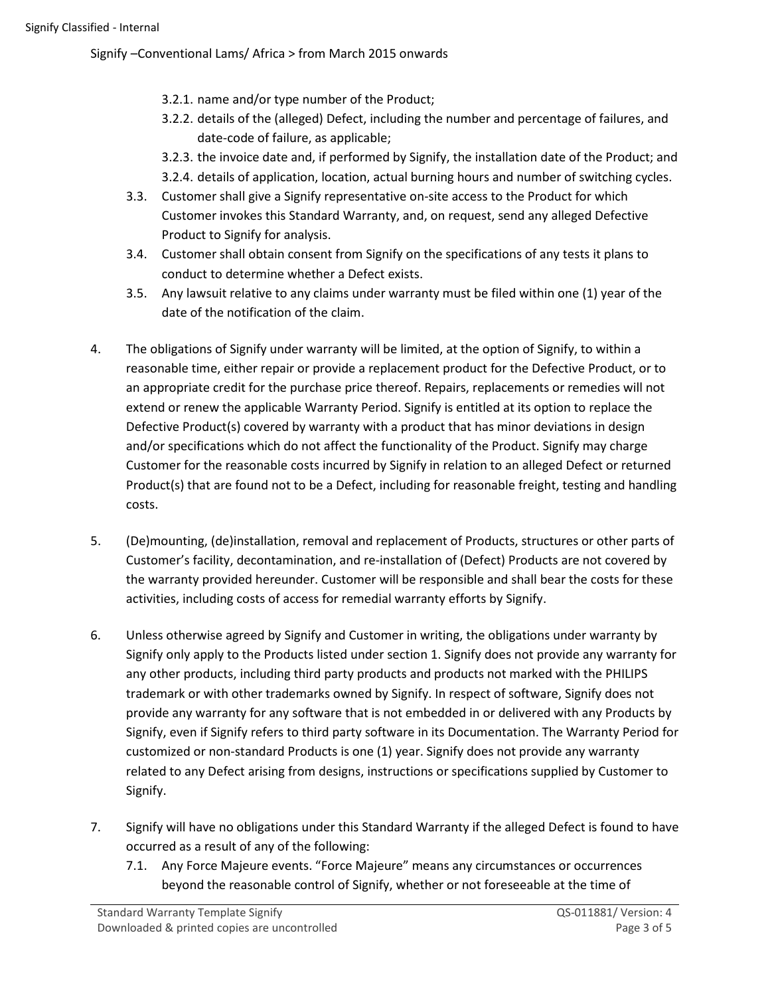- 3.2.1. name and/or type number of the Product;
- 3.2.2. details of the (alleged) Defect, including the number and percentage of failures, and date-code of failure, as applicable;
- 3.2.3. the invoice date and, if performed by Signify, the installation date of the Product; and
- 3.2.4. details of application, location, actual burning hours and number of switching cycles.
- 3.3. Customer shall give a Signify representative on-site access to the Product for which Customer invokes this Standard Warranty, and, on request, send any alleged Defective Product to Signify for analysis.
- 3.4. Customer shall obtain consent from Signify on the specifications of any tests it plans to conduct to determine whether a Defect exists.
- 3.5. Any lawsuit relative to any claims under warranty must be filed within one (1) year of the date of the notification of the claim.
- 4. The obligations of Signify under warranty will be limited, at the option of Signify, to within a reasonable time, either repair or provide a replacement product for the Defective Product, or to an appropriate credit for the purchase price thereof. Repairs, replacements or remedies will not extend or renew the applicable Warranty Period. Signify is entitled at its option to replace the Defective Product(s) covered by warranty with a product that has minor deviations in design and/or specifications which do not affect the functionality of the Product. Signify may charge Customer for the reasonable costs incurred by Signify in relation to an alleged Defect or returned Product(s) that are found not to be a Defect, including for reasonable freight, testing and handling costs.
- 5. (De)mounting, (de)installation, removal and replacement of Products, structures or other parts of Customer's facility, decontamination, and re-installation of (Defect) Products are not covered by the warranty provided hereunder. Customer will be responsible and shall bear the costs for these activities, including costs of access for remedial warranty efforts by Signify.
- 6. Unless otherwise agreed by Signify and Customer in writing, the obligations under warranty by Signify only apply to the Products listed under section 1. Signify does not provide any warranty for any other products, including third party products and products not marked with the PHILIPS trademark or with other trademarks owned by Signify. In respect of software, Signify does not provide any warranty for any software that is not embedded in or delivered with any Products by Signify, even if Signify refers to third party software in its Documentation. The Warranty Period for customized or non-standard Products is one (1) year. Signify does not provide any warranty related to any Defect arising from designs, instructions or specifications supplied by Customer to Signify.
- 7. Signify will have no obligations under this Standard Warranty if the alleged Defect is found to have occurred as a result of any of the following:
	- 7.1. Any Force Majeure events. "Force Majeure" means any circumstances or occurrences beyond the reasonable control of Signify, whether or not foreseeable at the time of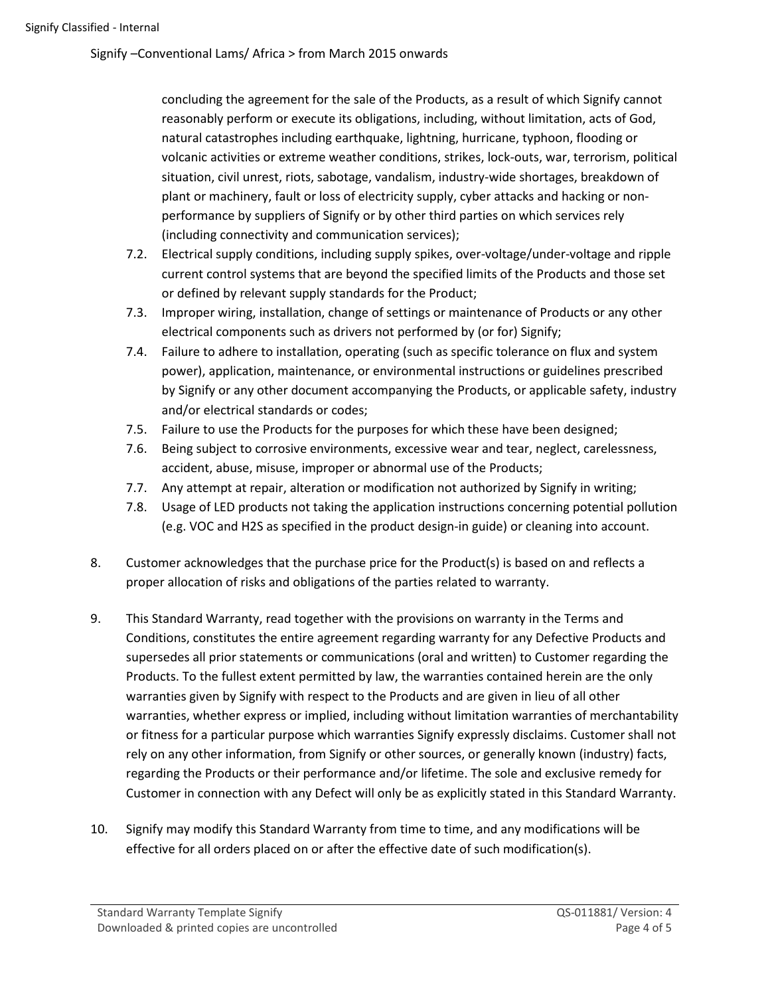concluding the agreement for the sale of the Products, as a result of which Signify cannot reasonably perform or execute its obligations, including, without limitation, acts of God, natural catastrophes including earthquake, lightning, hurricane, typhoon, flooding or volcanic activities or extreme weather conditions, strikes, lock-outs, war, terrorism, political situation, civil unrest, riots, sabotage, vandalism, industry-wide shortages, breakdown of plant or machinery, fault or loss of electricity supply, cyber attacks and hacking or nonperformance by suppliers of Signify or by other third parties on which services rely (including connectivity and communication services);

- 7.2. Electrical supply conditions, including supply spikes, over-voltage/under-voltage and ripple current control systems that are beyond the specified limits of the Products and those set or defined by relevant supply standards for the Product;
- 7.3. Improper wiring, installation, change of settings or maintenance of Products or any other electrical components such as drivers not performed by (or for) Signify;
- 7.4. Failure to adhere to installation, operating (such as specific tolerance on flux and system power), application, maintenance, or environmental instructions or guidelines prescribed by Signify or any other document accompanying the Products, or applicable safety, industry and/or electrical standards or codes;
- 7.5. Failure to use the Products for the purposes for which these have been designed;
- 7.6. Being subject to corrosive environments, excessive wear and tear, neglect, carelessness, accident, abuse, misuse, improper or abnormal use of the Products;
- 7.7. Any attempt at repair, alteration or modification not authorized by Signify in writing;
- 7.8. Usage of LED products not taking the application instructions concerning potential pollution (e.g. VOC and H2S as specified in the product design-in guide) or cleaning into account.
- 8. Customer acknowledges that the purchase price for the Product(s) is based on and reflects a proper allocation of risks and obligations of the parties related to warranty.
- 9. This Standard Warranty, read together with the provisions on warranty in the Terms and Conditions, constitutes the entire agreement regarding warranty for any Defective Products and supersedes all prior statements or communications (oral and written) to Customer regarding the Products. To the fullest extent permitted by law, the warranties contained herein are the only warranties given by Signify with respect to the Products and are given in lieu of all other warranties, whether express or implied, including without limitation warranties of merchantability or fitness for a particular purpose which warranties Signify expressly disclaims. Customer shall not rely on any other information, from Signify or other sources, or generally known (industry) facts, regarding the Products or their performance and/or lifetime. The sole and exclusive remedy for Customer in connection with any Defect will only be as explicitly stated in this Standard Warranty.
- 10. Signify may modify this Standard Warranty from time to time, and any modifications will be effective for all orders placed on or after the effective date of such modification(s).